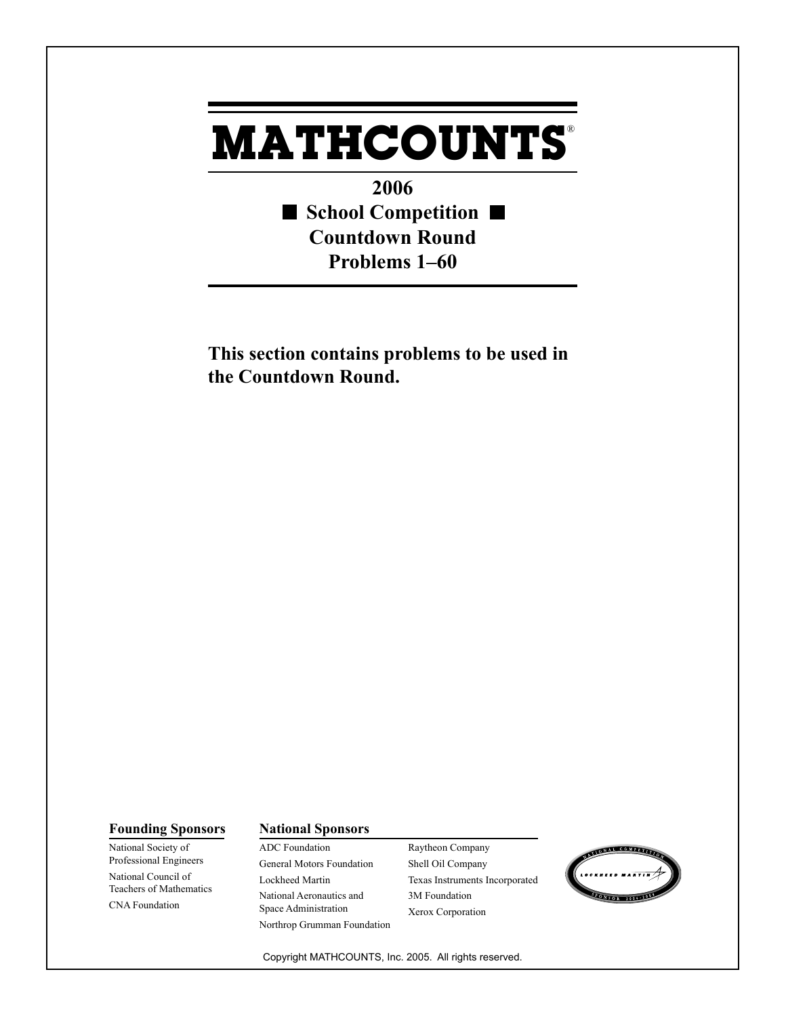## **MATHCOUNTS** ®

**2006** ■ School Competition ■ **Countdown Round Problems 1–60**

**This section contains problems to be used in the Countdown Round.**

## **Founding Sponsors National Sponsors**

National Society of Professional Engineers National Council of Teachers of Mathematics CNA Foundation

ADC Foundation General Motors Foundation Lockheed Martin National Aeronautics and Space Administration Northrop Grumman Foundation Raytheon Company Shell Oil Company Texas Instruments Incorporated 3M Foundation Xerox Corporation



Copyright MATHCOUNTS, Inc. 2005. All rights reserved.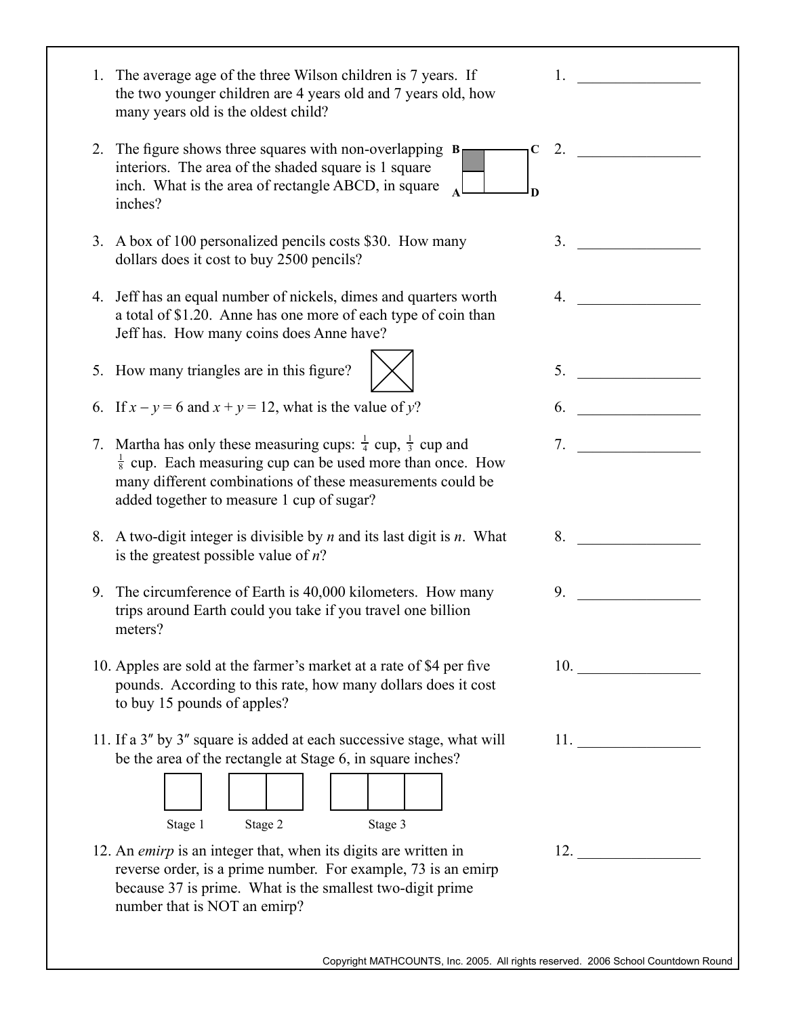| 1. The average age of the three Wilson children is 7 years. If<br>the two younger children are 4 years old and 7 years old, how<br>many years old is the oldest child?                                                                                                |                |                    |
|-----------------------------------------------------------------------------------------------------------------------------------------------------------------------------------------------------------------------------------------------------------------------|----------------|--------------------|
| 2. The figure shows three squares with non-overlapping $B_{\Box}$<br>$\mathbf C$<br>interiors. The area of the shaded square is 1 square<br>inch. What is the area of rectangle ABCD, in square<br>inches?                                                            |                | 2. $\qquad \qquad$ |
| 3. A box of 100 personalized pencils costs \$30. How many<br>dollars does it cost to buy 2500 pencils?                                                                                                                                                                | 3.             |                    |
| 4. Jeff has an equal number of nickels, dimes and quarters worth<br>a total of \$1.20. Anne has one more of each type of coin than<br>Jeff has. How many coins does Anne have?                                                                                        | $\overline{4}$ |                    |
| 5. How many triangles are in this figure?                                                                                                                                                                                                                             |                | 5.                 |
| 6. If $x - y = 6$ and $x + y = 12$ , what is the value of y?                                                                                                                                                                                                          |                |                    |
| 7. Martha has only these measuring cups: $\frac{1}{4}$ cup, $\frac{1}{3}$ cup and<br>$\frac{1}{8}$ cup. Each measuring cup can be used more than once. How<br>many different combinations of these measurements could be<br>added together to measure 1 cup of sugar? | 7 <sub>1</sub> |                    |
| 8. A two-digit integer is divisible by $n$ and its last digit is $n$ . What<br>is the greatest possible value of $n$ ?                                                                                                                                                | 8.             |                    |
| 9. The circumference of Earth is 40,000 kilometers. How many<br>trips around Earth could you take if you travel one billion<br>meters?                                                                                                                                | 9.             |                    |
| 10. Apples are sold at the farmer's market at a rate of \$4 per five<br>pounds. According to this rate, how many dollars does it cost<br>to buy 15 pounds of apples?                                                                                                  |                | 10.                |
| 11. If a 3" by 3" square is added at each successive stage, what will<br>be the area of the rectangle at Stage 6, in square inches?<br>Stage 1<br>Stage 2<br>Stage 3                                                                                                  |                | 11.                |
| 12. An emirp is an integer that, when its digits are written in<br>reverse order, is a prime number. For example, 73 is an emirp<br>because 37 is prime. What is the smallest two-digit prime<br>number that is NOT an emirp?                                         |                | 12.                |
| Copyright MATHCOUNTS, Inc. 2005. All rights reserved. 2006 School Countdown Round                                                                                                                                                                                     |                |                    |
|                                                                                                                                                                                                                                                                       |                |                    |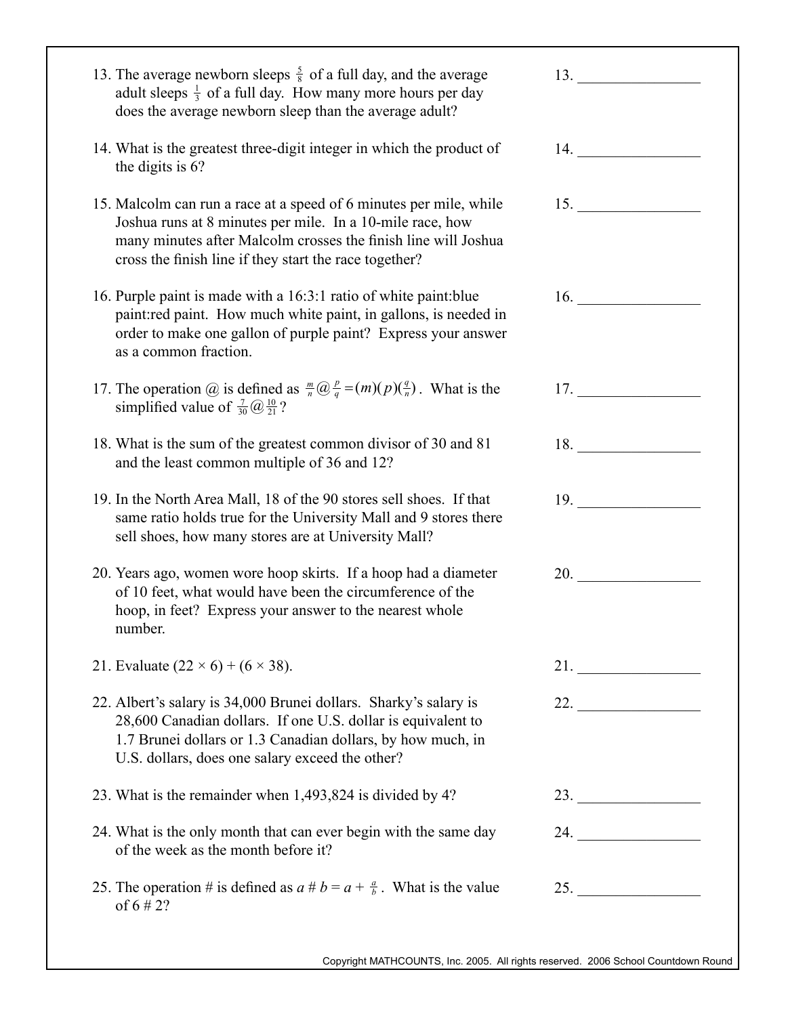| 13. The average newborn sleeps $\frac{5}{8}$ of a full day, and the average<br>adult sleeps $\frac{1}{3}$ of a full day. How many more hours per day<br>does the average newborn sleep than the average adult?                                              | 13.                 |
|-------------------------------------------------------------------------------------------------------------------------------------------------------------------------------------------------------------------------------------------------------------|---------------------|
| 14. What is the greatest three-digit integer in which the product of<br>the digits is 6?                                                                                                                                                                    | 14.                 |
| 15. Malcolm can run a race at a speed of 6 minutes per mile, while<br>Joshua runs at 8 minutes per mile. In a 10-mile race, how<br>many minutes after Malcolm crosses the finish line will Joshua<br>cross the finish line if they start the race together? |                     |
| 16. Purple paint is made with a 16:3:1 ratio of white paint: blue<br>paint:red paint. How much white paint, in gallons, is needed in<br>order to make one gallon of purple paint? Express your answer<br>as a common fraction.                              | 16. $\qquad \qquad$ |
| 17. The operation @ is defined as $\frac{m}{n}$ $\frac{p}{q} = (m)(p)(\frac{q}{n})$ . What is the<br>simplified value of $\frac{7}{30}$ $\frac{10}{21}$ ?                                                                                                   | 17.                 |
| 18. What is the sum of the greatest common divisor of 30 and 81<br>and the least common multiple of 36 and 12?                                                                                                                                              | 18.                 |
| 19. In the North Area Mall, 18 of the 90 stores sell shoes. If that<br>same ratio holds true for the University Mall and 9 stores there<br>sell shoes, how many stores are at University Mall?                                                              | 19.                 |
| 20. Years ago, women wore hoop skirts. If a hoop had a diameter<br>of 10 feet, what would have been the circumference of the<br>hoop, in feet? Express your answer to the nearest whole<br>number.                                                          | 20.                 |
| 21. Evaluate $(22 \times 6) + (6 \times 38)$ .                                                                                                                                                                                                              | 21.                 |
| 22. Albert's salary is 34,000 Brunei dollars. Sharky's salary is<br>28,600 Canadian dollars. If one U.S. dollar is equivalent to<br>1.7 Brunei dollars or 1.3 Canadian dollars, by how much, in<br>U.S. dollars, does one salary exceed the other?          |                     |
| 23. What is the remainder when 1,493,824 is divided by 4?                                                                                                                                                                                                   |                     |
| 24. What is the only month that can ever begin with the same day<br>of the week as the month before it?                                                                                                                                                     | 24.                 |
| 25. The operation # is defined as $a \# b = a + \frac{a}{b}$ . What is the value<br>of $6 \# 2?$                                                                                                                                                            | 25.                 |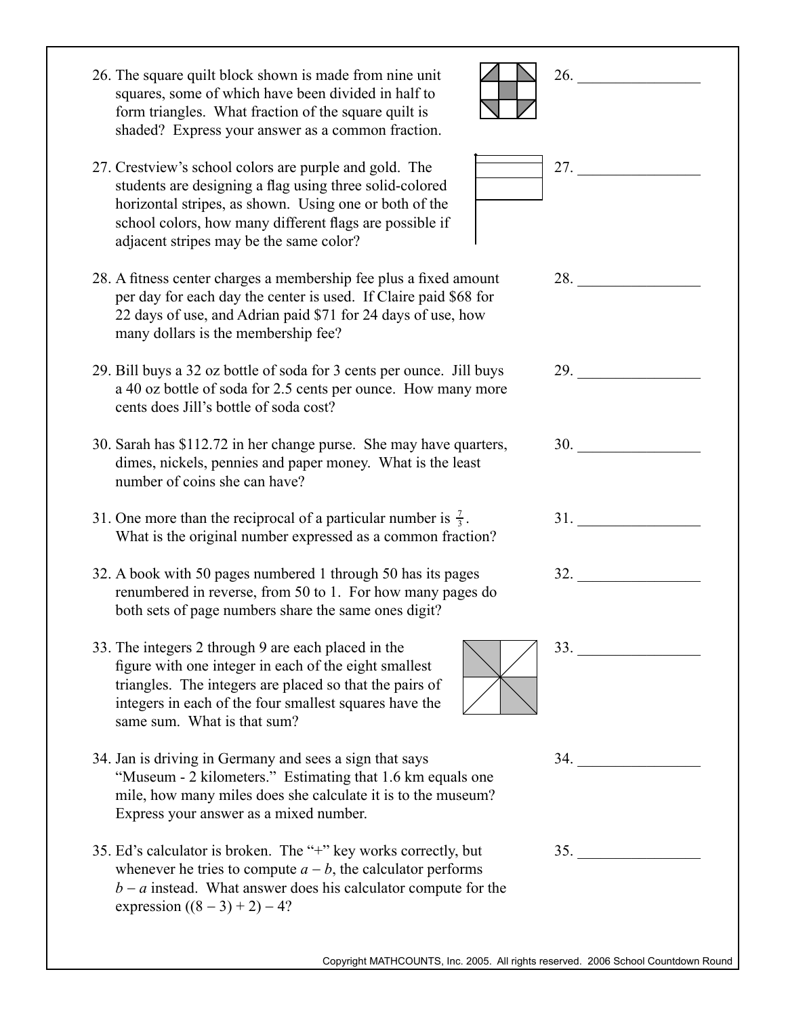| 26. The square quilt block shown is made from nine unit<br>squares, some of which have been divided in half to<br>form triangles. What fraction of the square quilt is<br>shaded? Express your answer as a common fraction.                                                       | 26.                                                                                                                                                                                                                                 |
|-----------------------------------------------------------------------------------------------------------------------------------------------------------------------------------------------------------------------------------------------------------------------------------|-------------------------------------------------------------------------------------------------------------------------------------------------------------------------------------------------------------------------------------|
| 27. Crestview's school colors are purple and gold. The<br>students are designing a flag using three solid-colored<br>horizontal stripes, as shown. Using one or both of the<br>school colors, how many different flags are possible if<br>adjacent stripes may be the same color? | 27. $\qquad \qquad$                                                                                                                                                                                                                 |
| 28. A fitness center charges a membership fee plus a fixed amount<br>per day for each day the center is used. If Claire paid \$68 for<br>22 days of use, and Adrian paid \$71 for 24 days of use, how<br>many dollars is the membership fee?                                      | 28.                                                                                                                                                                                                                                 |
| 29. Bill buys a 32 oz bottle of soda for 3 cents per ounce. Jill buys<br>a 40 oz bottle of soda for 2.5 cents per ounce. How many more<br>cents does Jill's bottle of soda cost?                                                                                                  | <b>29.</b> The contract of the contract of the contract of the contract of the contract of the contract of the contract of the contract of the contract of the contract of the contract of the contract of the contract of the cont |
| 30. Sarah has \$112.72 in her change purse. She may have quarters,<br>dimes, nickels, pennies and paper money. What is the least<br>number of coins she can have?                                                                                                                 | 30.                                                                                                                                                                                                                                 |
| 31. One more than the reciprocal of a particular number is $\frac{7}{3}$ .<br>What is the original number expressed as a common fraction?                                                                                                                                         | 31.                                                                                                                                                                                                                                 |
| 32. A book with 50 pages numbered 1 through 50 has its pages<br>renumbered in reverse, from 50 to 1. For how many pages do<br>both sets of page numbers share the same ones digit?                                                                                                | 32.                                                                                                                                                                                                                                 |
| 33. The integers 2 through 9 are each placed in the<br>figure with one integer in each of the eight smallest<br>triangles. The integers are placed so that the pairs of<br>integers in each of the four smallest squares have the<br>same sum. What is that sum?                  | 33.                                                                                                                                                                                                                                 |
| 34. Jan is driving in Germany and sees a sign that says<br>"Museum - 2 kilometers." Estimating that 1.6 km equals one<br>mile, how many miles does she calculate it is to the museum?<br>Express your answer as a mixed number.                                                   | 34.                                                                                                                                                                                                                                 |
| 35. Ed's calculator is broken. The "+" key works correctly, but<br>whenever he tries to compute $a - b$ , the calculator performs<br>$b - a$ instead. What answer does his calculator compute for the<br>expression $((8-3)+2)-4?$                                                |                                                                                                                                                                                                                                     |
| Copyright MATHCOUNTS, Inc. 2005. All rights reserved. 2006 School Countdown Round                                                                                                                                                                                                 |                                                                                                                                                                                                                                     |
|                                                                                                                                                                                                                                                                                   |                                                                                                                                                                                                                                     |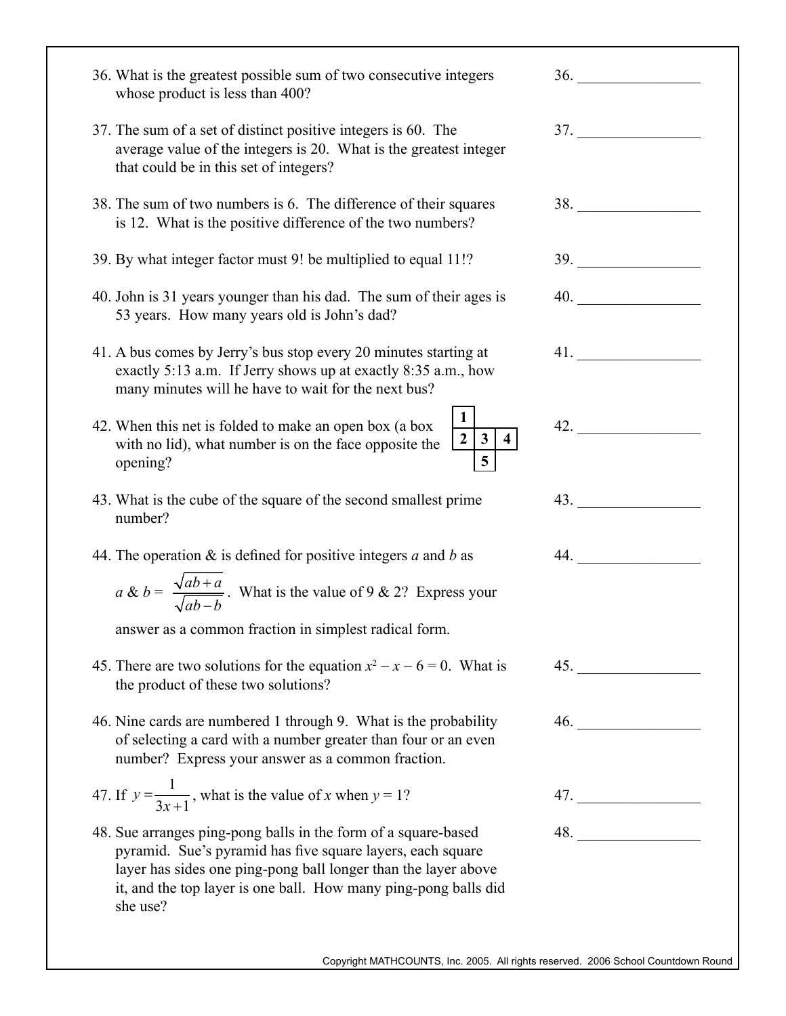| 36. What is the greatest possible sum of two consecutive integers<br>whose product is less than 400?                                                                                                                                                                          | 36.                                 |
|-------------------------------------------------------------------------------------------------------------------------------------------------------------------------------------------------------------------------------------------------------------------------------|-------------------------------------|
| 37. The sum of a set of distinct positive integers is 60. The<br>average value of the integers is 20. What is the greatest integer<br>that could be in this set of integers?                                                                                                  | 37.                                 |
| 38. The sum of two numbers is 6. The difference of their squares<br>is 12. What is the positive difference of the two numbers?                                                                                                                                                | <b>38.</b> The same state of $\sim$ |
| 39. By what integer factor must 9! be multiplied to equal 11!?                                                                                                                                                                                                                |                                     |
| 40. John is 31 years younger than his dad. The sum of their ages is<br>53 years. How many years old is John's dad?                                                                                                                                                            | 40.                                 |
| 41. A bus comes by Jerry's bus stop every 20 minutes starting at<br>exactly 5:13 a.m. If Jerry shows up at exactly 8:35 a.m., how<br>many minutes will he have to wait for the next bus?                                                                                      |                                     |
| 42. When this net is folded to make an open box (a box<br>$\mathbf{3}$<br>with no lid), what number is on the face opposite the<br>5<br>opening?                                                                                                                              | 42.                                 |
| 43. What is the cube of the square of the second smallest prime<br>number?                                                                                                                                                                                                    | 43.                                 |
| 44. The operation $\&$ is defined for positive integers a and b as                                                                                                                                                                                                            | 44.                                 |
| $a \& b = \frac{\sqrt{ab+a}}{\sqrt{ab-b}}$ . What is the value of 9 & 2? Express your                                                                                                                                                                                         |                                     |
| answer as a common fraction in simplest radical form.                                                                                                                                                                                                                         |                                     |
| 45. There are two solutions for the equation $x^2 - x - 6 = 0$ . What is<br>the product of these two solutions?                                                                                                                                                               | $45.$ $\overline{\qquad \qquad }$   |
| 46. Nine cards are numbered 1 through 9. What is the probability<br>of selecting a card with a number greater than four or an even<br>number? Express your answer as a common fraction.                                                                                       | 46.                                 |
| 47. If $y = \frac{1}{3x+1}$ , what is the value of x when $y = 1$ ?                                                                                                                                                                                                           | 47.                                 |
| 48. Sue arranges ping-pong balls in the form of a square-based<br>pyramid. Sue's pyramid has five square layers, each square<br>layer has sides one ping-pong ball longer than the layer above<br>it, and the top layer is one ball. How many ping-pong balls did<br>she use? | 48.                                 |
|                                                                                                                                                                                                                                                                               |                                     |
| Copyright MATHCOUNTS, Inc. 2005. All rights reserved. 2006 School Countdown Round                                                                                                                                                                                             |                                     |